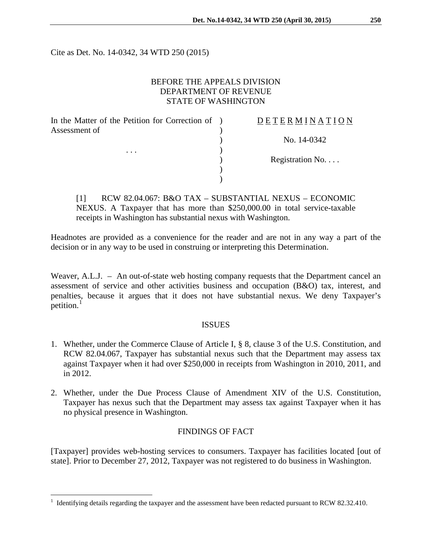Cite as Det. No. 14-0342, 34 WTD 250 (2015)

# BEFORE THE APPEALS DIVISION DEPARTMENT OF REVENUE STATE OF WASHINGTON

| In the Matter of the Petition for Correction of ) | DETERMINATIO     |
|---------------------------------------------------|------------------|
| Assessment of                                     |                  |
|                                                   | No. 14-0342      |
| .                                                 |                  |
|                                                   | Registration No. |
|                                                   |                  |
|                                                   |                  |
|                                                   |                  |

[1] RCW 82.04.067: B&O TAX – SUBSTANTIAL NEXUS – ECONOMIC NEXUS. A Taxpayer that has more than \$250,000.00 in total service-taxable receipts in Washington has substantial nexus with Washington.

Headnotes are provided as a convenience for the reader and are not in any way a part of the decision or in any way to be used in construing or interpreting this Determination.

Weaver, A.L.J. – An out-of-state web hosting company requests that the Department cancel an assessment of service and other activities business and occupation (B&O) tax, interest, and penalties, because it argues that it does not have substantial nexus. We deny Taxpayer's petition.<sup>[1](#page-0-0)</sup>

#### ISSUES

- 1. Whether, under the Commerce Clause of Article I, § 8, clause 3 of the U.S. Constitution, and RCW 82.04.067, Taxpayer has substantial nexus such that the Department may assess tax against Taxpayer when it had over \$250,000 in receipts from Washington in 2010, 2011, and in 2012.
- 2. Whether, under the Due Process Clause of Amendment XIV of the U.S. Constitution, Taxpayer has nexus such that the Department may assess tax against Taxpayer when it has no physical presence in Washington.

## FINDINGS OF FACT

[Taxpayer] provides web-hosting services to consumers. Taxpayer has facilities located [out of state]. Prior to December 27, 2012, Taxpayer was not registered to do business in Washington.

 $\overline{a}$ 

N A T I O N

<span id="page-0-0"></span><sup>1</sup> Identifying details regarding the taxpayer and the assessment have been redacted pursuant to RCW 82.32.410.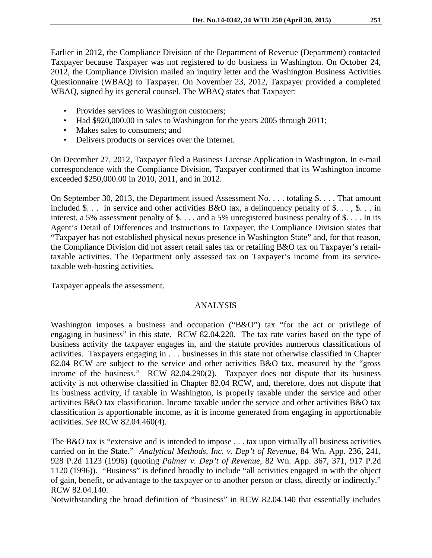Earlier in 2012, the Compliance Division of the Department of Revenue (Department) contacted Taxpayer because Taxpayer was not registered to do business in Washington. On October 24, 2012, the Compliance Division mailed an inquiry letter and the Washington Business Activities Questionnaire (WBAQ) to Taxpayer. On November 23, 2012, Taxpayer provided a completed WBAQ, signed by its general counsel. The WBAQ states that Taxpayer:

- Provides services to Washington customers;
- Had \$920,000.00 in sales to Washington for the years 2005 through 2011;
- Makes sales to consumers; and
- Delivers products or services over the Internet.

On December 27, 2012, Taxpayer filed a Business License Application in Washington. In e-mail correspondence with the Compliance Division, Taxpayer confirmed that its Washington income exceeded \$250,000.00 in 2010, 2011, and in 2012.

On September 30, 2013, the Department issued Assessment No. . . . totaling \$. . . . That amount included \$... in service and other activities B&O tax, a delinquency penalty of \$..., \$... in interest, a 5% assessment penalty of \$. . . , and a 5% unregistered business penalty of \$. . . . In its Agent's Detail of Differences and Instructions to Taxpayer, the Compliance Division states that "Taxpayer has not established physical nexus presence in Washington State" and, for that reason, the Compliance Division did not assert retail sales tax or retailing B&O tax on Taxpayer's retailtaxable activities. The Department only assessed tax on Taxpayer's income from its servicetaxable web-hosting activities.

Taxpayer appeals the assessment.

## ANALYSIS

Washington imposes a business and occupation ("B&O") tax "for the act or privilege of engaging in business" in this state. RCW 82.04.220. The tax rate varies based on the type of business activity the taxpayer engages in, and the statute provides numerous classifications of activities. Taxpayers engaging in . . . businesses in this state not otherwise classified in Chapter 82.04 RCW are subject to the service and other activities B&O tax, measured by the "gross income of the business." RCW 82.04.290(2). Taxpayer does not dispute that its business activity is not otherwise classified in Chapter 82.04 RCW, and, therefore, does not dispute that its business activity, if taxable in Washington, is properly taxable under the service and other activities B&O tax classification. Income taxable under the service and other activities B&O tax classification is apportionable income, as it is income generated from engaging in apportionable activities. *See* RCW 82.04.460(4).

The B&O tax is "extensive and is intended to impose . . . tax upon virtually all business activities carried on in the State." *Analytical Methods, Inc. v. Dep't of Revenue*, 84 Wn. App. 236, 241, 928 P.2d 1123 (1996) (quoting *Palmer v. Dep't of Revenue*, 82 Wn. App. 367, 371, 917 P.2d 1120 (1996)). "Business" is defined broadly to include "all activities engaged in with the object of gain, benefit, or advantage to the taxpayer or to another person or class, directly or indirectly." RCW 82.04.140.

Notwithstanding the broad definition of "business" in RCW 82.04.140 that essentially includes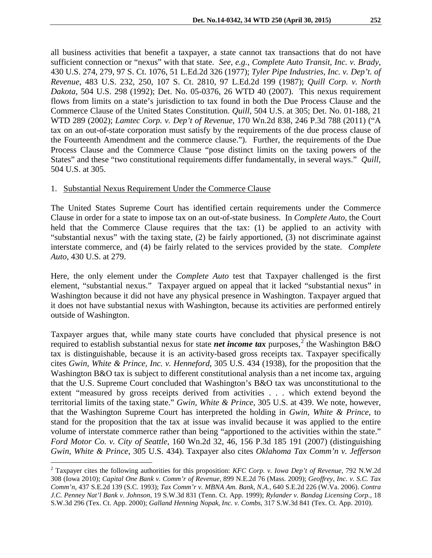all business activities that benefit a taxpayer, a state cannot tax transactions that do not have sufficient connection or "nexus" with that state. *See, e.g.*, *Complete Auto Transit, Inc. v. Brady*, 430 U.S. 274, 279, 97 S. Ct. 1076, 51 L.Ed.2d 326 (1977); *Tyler Pipe Industries, Inc. v. Dep't. of Revenue*, 483 U.S. 232, 250, 107 S. Ct. 2810, 97 L.Ed.2d 199 (1987); *Quill Corp. v. North Dakota*, 504 U.S. 298 (1992); Det. No. 05-0376, 26 WTD 40 (2007). This nexus requirement flows from limits on a state's jurisdiction to tax found in both the Due Process Clause and the Commerce Clause of the United States Constitution. *Quill,* 504 U.S. at 305; Det. No. 01-188, 21 WTD 289 (2002); *Lamtec Corp. v. Dep't of Revenue,* 170 Wn.2d 838, 246 P.3d 788 (2011) ("A tax on an out-of-state corporation must satisfy by the requirements of the due process clause of the Fourteenth Amendment and the commerce clause."). Further, the requirements of the Due Process Clause and the Commerce Clause "pose distinct limits on the taxing powers of the States" and these "two constitutional requirements differ fundamentally, in several ways." *Quill,*  504 U.S. at 305.

### 1. Substantial Nexus Requirement Under the Commerce Clause

 $\overline{a}$ 

The United States Supreme Court has identified certain requirements under the Commerce Clause in order for a state to impose tax on an out-of-state business. In *Complete Auto,* the Court held that the Commerce Clause requires that the tax: (1) be applied to an activity with "substantial nexus" with the taxing state, (2) be fairly apportioned, (3) not discriminate against interstate commerce, and (4) be fairly related to the services provided by the state. *Complete Auto,* 430 U.S. at 279.

Here, the only element under the *Complete Auto* test that Taxpayer challenged is the first element, "substantial nexus." Taxpayer argued on appeal that it lacked "substantial nexus" in Washington because it did not have any physical presence in Washington. Taxpayer argued that it does not have substantial nexus with Washington, because its activities are performed entirely outside of Washington.

Taxpayer argues that, while many state courts have concluded that physical presence is not required to establish substantial nexus for state *net income tax* purposes,<sup>[2](#page-2-0)</sup> the Washington B&O tax is distinguishable, because it is an activity-based gross receipts tax. Taxpayer specifically cites *Gwin, White & Prince, Inc. v. Henneford*, 305 U.S. 434 (1938), for the proposition that the Washington B&O tax is subject to different constitutional analysis than a net income tax, arguing that the U.S. Supreme Court concluded that Washington's B&O tax was unconstitutional to the extent "measured by gross receipts derived from activities . . . which extend beyond the territorial limits of the taxing state." *Gwin, White & Prince*, 305 U.S. at 439. We note, however, that the Washington Supreme Court has interpreted the holding in *Gwin, White & Prince*, to stand for the proposition that the tax at issue was invalid because it was applied to the entire volume of interstate commerce rather than being "apportioned to the activities within the state." *Ford Motor Co. v. City of Seattle*, 160 Wn.2d 32, 46, 156 P.3d 185 191 (2007) (distinguishing *Gwin, White & Prince*, 305 U.S. 434). Taxpayer also cites *Oklahoma Tax Comm'n v. Jefferson* 

<span id="page-2-0"></span><sup>2</sup> Taxpayer cites the following authorities for this proposition: *KFC Corp. v. Iowa Dep't of Revenue*, 792 N.W.2d 308 (Iowa 2010); *Capital One Bank v. Comm'r of Revenue*, 899 N.E.2d 76 (Mass. 2009); *Geoffrey, Inc. v. S.C. Tax Comm'n*, 437 S.E.2d 139 (S.C. 1993); *Tax Comm'r v. MBNA Am. Bank, N.A.*, 640 S.E.2d 226 (W.Va. 2006). *Contra J.C. Penney Nat'l Bank v. Johnson*, 19 S.W.3d 831 (Tenn. Ct. App. 1999); *Rylander v. Bandag Licensing Corp.*, 18 S.W.3d 296 (Tex. Ct. App. 2000); *Galland Henning Nopak, Inc. v. Combs*, 317 S.W.3d 841 (Tex. Ct. App. 2010).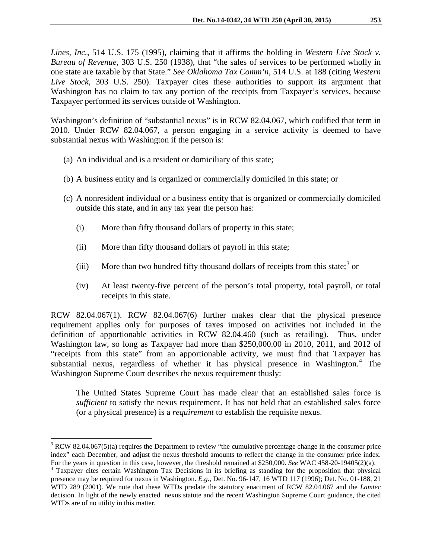*Lines, Inc.*, 514 U.S. 175 (1995), claiming that it affirms the holding in *Western Live Stock v. Bureau of Revenue*, 303 U.S. 250 (1938), that "the sales of services to be performed wholly in one state are taxable by that State." *See Oklahoma Tax Comm'n*, 514 U.S. at 188 (citing *Western Live Stock*, 303 U.S. 250). Taxpayer cites these authorities to support its argument that Washington has no claim to tax any portion of the receipts from Taxpayer's services, because Taxpayer performed its services outside of Washington.

Washington's definition of "substantial nexus" is in RCW 82.04.067, which codified that term in 2010. Under RCW 82.04.067, a person engaging in a service activity is deemed to have substantial nexus with Washington if the person is:

- (a) An individual and is a resident or domiciliary of this state;
- (b) A business entity and is organized or commercially domiciled in this state; or
- (c) A nonresident individual or a business entity that is organized or commercially domiciled outside this state, and in any tax year the person has:
	- (i) More than fifty thousand dollars of property in this state;
	- (ii) More than fifty thousand dollars of payroll in this state;
	- (iii) More than two hundred fifty thousand dollars of receipts from this state;<sup>[3](#page-3-0)</sup> or
	- (iv) At least twenty-five percent of the person's total property, total payroll, or total receipts in this state.

RCW 82.04.067(1). RCW 82.04.067(6) further makes clear that the physical presence requirement applies only for purposes of taxes imposed on activities not included in the definition of apportionable activities in RCW 82.04.460 (such as retailing). Thus, under Washington law, so long as Taxpayer had more than \$250,000.00 in 2010, 2011, and 2012 of "receipts from this state" from an apportionable activity, we must find that Taxpayer has substantial nexus, regardless of whether it has physical presence in Washington.<sup>[4](#page-3-1)</sup> The Washington Supreme Court describes the nexus requirement thusly:

The United States Supreme Court has made clear that an established sales force is *sufficient* to satisfy the nexus requirement. It has not held that an established sales force (or a physical presence) is a *requirement* to establish the requisite nexus.

 $\overline{a}$ 

<span id="page-3-0"></span><sup>&</sup>lt;sup>3</sup> RCW 82.04.067(5)(a) requires the Department to review "the cumulative percentage change in the consumer price index" each December, and adjust the nexus threshold amounts to reflect the change in the consumer price index.

<span id="page-3-1"></span>For the years in question in this case, however, the threshold remained at \$250,000. See WAC 458-20-19405(2)(a).<br><sup>4</sup> Taxpayer cites certain Washington Tax Decisions in its briefing as standing for the proposition that phys presence may be required for nexus in Washington. *E.g.*, Det. No. 96-147, 16 WTD 117 (1996); Det. No. 01-188, 21 WTD 289 (2001). We note that these WTDs predate the statutory enactment of RCW 82.04.067 and the *Lamtec*  decision. In light of the newly enacted nexus statute and the recent Washington Supreme Court guidance, the cited WTDs are of no utility in this matter.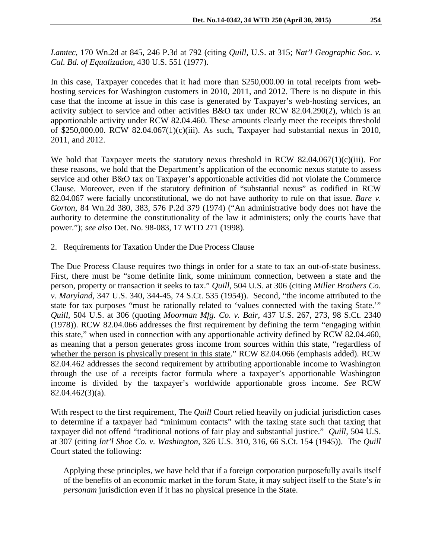*Lamtec*, 170 Wn.2d at 845, 246 P.3d at 792 (citing *Quill*, U.S. at 315; *Nat'l Geographic Soc. v. Cal. Bd. of Equalization*, 430 U.S. 551 (1977).

In this case, Taxpayer concedes that it had more than \$250,000.00 in total receipts from webhosting services for Washington customers in 2010, 2011, and 2012. There is no dispute in this case that the income at issue in this case is generated by Taxpayer's web-hosting services, an activity subject to service and other activities B&O tax under RCW 82.04.290(2), which is an apportionable activity under RCW 82.04.460. These amounts clearly meet the receipts threshold of \$250,000.00. RCW 82.04.067(1)(c)(iii). As such, Taxpayer had substantial nexus in 2010, 2011, and 2012.

We hold that Taxpayer meets the statutory nexus threshold in RCW 82.04.067(1)(c)(iii). For these reasons, we hold that the Department's application of the economic nexus statute to assess service and other B&O tax on Taxpayer's apportionable activities did not violate the Commerce Clause. Moreover, even if the statutory definition of "substantial nexus" as codified in RCW 82.04.067 were facially unconstitutional, we do not have authority to rule on that issue. *Bare v. Gorton*, 84 Wn.2d 380, 383, 576 P.2d 379 (1974) ("An administrative body does not have the authority to determine the constitutionality of the law it administers; only the courts have that power."); *see also* Det. No. 98-083, 17 WTD 271 (1998).

### 2. Requirements for Taxation Under the Due Process Clause

The Due Process Clause requires two things in order for a state to tax an out-of-state business. First, there must be "some definite link, some minimum connection, between a state and the person, property or transaction it seeks to tax." *Quill,* 504 U.S. at 306 (citing *Miller Brothers Co. v. Maryland,* 347 U.S. 340, 344-45, 74 S.Ct. 535 (1954)). Second, "the income attributed to the state for tax purposes "must be rationally related to 'values connected with the taxing State.'" *Quill,* 504 U.S. at 306 (quoting *Moorman Mfg. Co. v. Bair,* 437 U.S. 267, 273, 98 S.Ct. 2340 (1978)). RCW 82.04.066 addresses the first requirement by defining the term "engaging within this state," when used in connection with any apportionable activity defined by RCW 82.04.460, as meaning that a person generates gross income from sources within this state, "regardless of whether the person is physically present in this state." RCW 82.04.066 (emphasis added). RCW 82.04.462 addresses the second requirement by attributing apportionable income to Washington through the use of a receipts factor formula where a taxpayer's apportionable Washington income is divided by the taxpayer's worldwide apportionable gross income. *See* RCW 82.04.462(3)(a).

With respect to the first requirement, The *Quill* Court relied heavily on judicial jurisdiction cases to determine if a taxpayer had "minimum contacts" with the taxing state such that taxing that taxpayer did not offend "traditional notions of fair play and substantial justice." *Quill,* 504 U.S. at 307 (citing *Int'l Shoe Co. v. Washington,* 326 U.S. 310, 316, 66 S.Ct. 154 (1945)). The *Quill*  Court stated the following:

Applying these principles, we have held that if a foreign corporation purposefully avails itself of the benefits of an economic market in the forum State, it may subject itself to the State's *in personam* jurisdiction even if it has no physical presence in the State.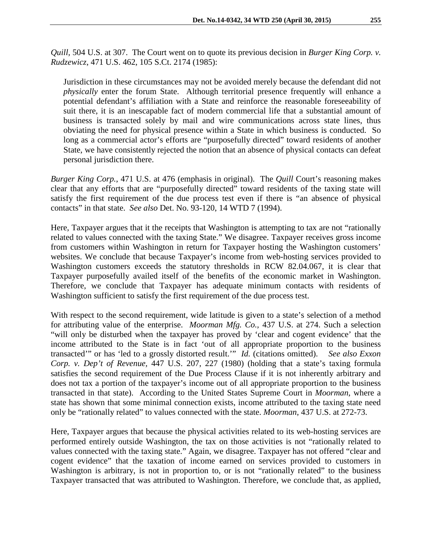*Quill,* 504 U.S. at 307. The Court went on to quote its previous decision in *Burger King Corp. v. Rudzewicz*, 471 U.S. 462, 105 S.Ct. 2174 (1985):

Jurisdiction in these circumstances may not be avoided merely because the defendant did not *physically* enter the forum State. Although territorial presence frequently will enhance a potential defendant's affiliation with a State and reinforce the reasonable foreseeability of suit there, it is an inescapable fact of modern commercial life that a substantial amount of business is transacted solely by mail and wire communications across state lines, thus obviating the need for physical presence within a State in which business is conducted. So long as a commercial actor's efforts are "purposefully directed" toward residents of another State, we have consistently rejected the notion that an absence of physical contacts can defeat personal jurisdiction there.

*Burger King Corp.*, 471 U.S. at 476 (emphasis in original). The *Quill* Court's reasoning makes clear that any efforts that are "purposefully directed" toward residents of the taxing state will satisfy the first requirement of the due process test even if there is "an absence of physical contacts" in that state. *See also* Det. No. 93-120, 14 WTD 7 (1994).

Here, Taxpayer argues that it the receipts that Washington is attempting to tax are not "rationally related to values connected with the taxing State." We disagree. Taxpayer receives gross income from customers within Washington in return for Taxpayer hosting the Washington customers' websites. We conclude that because Taxpayer's income from web-hosting services provided to Washington customers exceeds the statutory thresholds in RCW 82.04.067, it is clear that Taxpayer purposefully availed itself of the benefits of the economic market in Washington. Therefore, we conclude that Taxpayer has adequate minimum contacts with residents of Washington sufficient to satisfy the first requirement of the due process test.

With respect to the second requirement, wide latitude is given to a state's selection of a method for attributing value of the enterprise. *Moorman Mfg. Co.,* 437 U.S. at 274. Such a selection "will only be disturbed when the taxpayer has proved by 'clear and cogent evidence' that the income attributed to the State is in fact 'out of all appropriate proportion to the business transacted'" or has 'led to a grossly distorted result.'" *Id.* (citations omitted). *See also Exxon Corp. v. Dep't of Revenue,* 447 U.S. 207, 227 (1980) (holding that a state's taxing formula satisfies the second requirement of the Due Process Clause if it is not inherently arbitrary and does not tax a portion of the taxpayer's income out of all appropriate proportion to the business transacted in that state). According to the United States Supreme Court in *Moorman*, where a state has shown that some minimal connection exists, income attributed to the taxing state need only be "rationally related" to values connected with the state. *Moorman*, 437 U.S. at 272-73.

Here, Taxpayer argues that because the physical activities related to its web-hosting services are performed entirely outside Washington, the tax on those activities is not "rationally related to values connected with the taxing state." Again, we disagree. Taxpayer has not offered "clear and cogent evidence" that the taxation of income earned on services provided to customers in Washington is arbitrary, is not in proportion to, or is not "rationally related" to the business Taxpayer transacted that was attributed to Washington. Therefore, we conclude that, as applied,